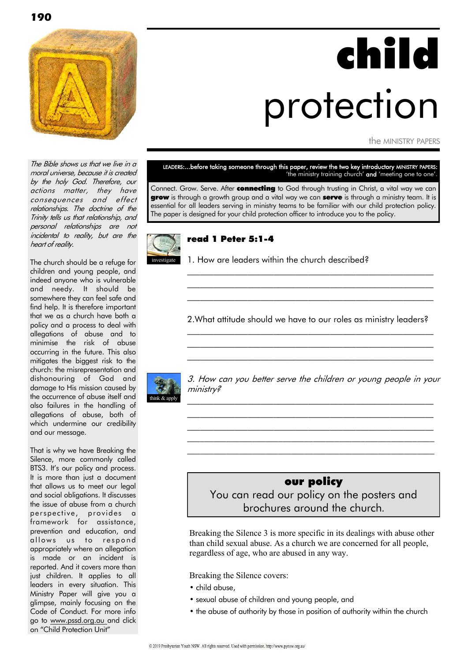

# child protection

the MINISTRY PAPERS

The Bible shows us that we live in a moral universe, because it is created by the holy God. Therefore, our actions matter, they have consequences and effect relationships. The doctrine of the Trinity tells us that relationship, and personal relationships are not incidental to reality, but are the heart of reality.

The church should be a refuge for children and young people, and indeed anyone who is vulnerable and needy. It should be somewhere they can feel safe and find help. It is therefore important that we as a church have both a policy and a process to deal with allegations of abuse and to minimise the risk of abuse occurring in the future. This also mitigates the biggest risk to the church: the misrepresentation and dishonouring of God and damage to His mission caused by the occurrence of abuse itself and also failures in the handling of allegations of abuse, both of which undermine our credibility and our message.

That is why we have Breaking the Silence, more commonly called BTS3. It's our policy and process. It is more than just a document that allows us to meet our legal and social obligations. It discusses the issue of abuse from a church perspective, provides a framework for assistance, prevention and education, and allows us to respond appropriately where an allegation is made or an incident is reported. And it covers more than just children. It applies to all leaders in every situation. This Ministry Paper will give you a glimpse, mainly focusing on the Code of Conduct. For more info go to www.pssd.org.au and click on "Child Protection Unit"

#### LEADERS:...before taking someone through this paper, review the two key introductory MINISTRY PAPERS: 'the ministry training church' and 'meeting one to one'.

Connect. Grow. Serve. After **connecting** to God through trusting in Christ, a vital way we can grow is through a growth group and a vital way we can serve is through a ministry team. It is essential for all leaders serving in ministry teams to be familiar with our child protection policy. The paper is designed for your child protection officer to introduce you to the policy.



#### read 1 Peter 5:1-4

1. How are leaders within the church described?

2.What attitude should we have to our roles as ministry leaders? \_\_\_\_\_\_\_\_\_\_\_\_\_\_\_\_\_\_\_\_\_\_\_\_\_\_\_\_\_\_\_\_\_\_\_\_\_\_\_\_\_\_\_\_\_\_\_\_\_\_\_\_\_\_\_\_\_

\_\_\_\_\_\_\_\_\_\_\_\_\_\_\_\_\_\_\_\_\_\_\_\_\_\_\_\_\_\_\_\_\_\_\_\_\_\_\_\_\_\_\_\_\_\_\_\_\_\_\_\_\_\_\_\_\_  $\mathcal{L}_\text{max}$  and the contract of the contract of the contract of the contract of the contract of the contract of

 $\mathcal{L}_\text{max}$  and the contract of the contract of the contract of the contract of the contract of the contract of  $\mathcal{L}_\text{max}$  and the contract of the contract of the contract of the contract of the contract of the contract of  $\mathcal{L}_\text{max}$  and the contract of the contract of the contract of the contract of the contract of the contract of



3. How can you better serve the children or young people in your ministry?

 $\mathcal{L}_\text{max}$  and the contract of the contract of the contract of the contract of the contract of the contract of  $\mathcal{L}_\text{max}$  and the contract of the contract of the contract of the contract of the contract of the contract of  $\mathcal{L}_\text{max}$  and the contract of the contract of the contract of the contract of the contract of the contract of \_\_\_\_\_\_\_\_\_\_\_\_\_\_\_\_\_\_\_\_\_\_\_\_\_\_\_\_\_\_\_\_\_\_\_\_\_\_\_\_\_\_\_\_\_\_\_\_\_\_\_\_\_\_\_\_\_ \_\_\_\_\_\_\_\_\_\_\_\_\_\_\_\_\_\_\_\_\_\_\_\_\_\_\_\_\_\_\_\_\_\_\_\_\_\_\_\_\_\_\_\_\_\_\_\_\_\_\_\_\_\_\_\_\_

#### our policy

You can read our policy on the posters and brochures around the church.

Breaking the Silence 3 is more specific in its dealings with abuse other than child sexual abuse. As a church we are concerned for all people, regardless of age, who are abused in any way.

Breaking the Silence covers:

- child abuse,
- sexual abuse of children and young people, and
- the abuse of authority by those in position of authority within the church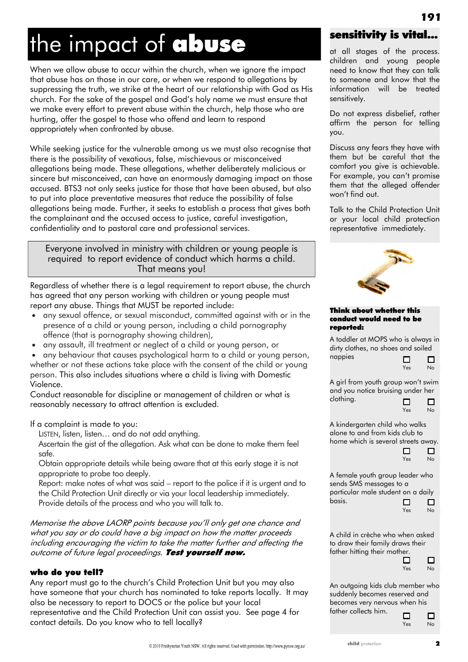# the impact of abuse

When we allow abuse to occur within the church, when we ignore the impact that abuse has on those in our care, or when we respond to allegations by suppressing the truth, we strike at the heart of our relationship with God as His church. For the sake of the gospel and God's holy name we must ensure that we make every effort to prevent abuse within the church, help those who are hurting, offer the gospel to those who offend and learn to respond appropriately when confronted by abuse.

While seeking justice for the vulnerable among us we must also recognise that there is the possibility of vexatious, false, mischievous or misconceived allegations being made. These allegations, whether deliberately malicious or sincere but misconceived, can have an enormously damaging impact on those accused. BTS3 not only seeks justice for those that have been abused, but also to put into place preventative measures that reduce the possibility of false allegations being made. Further, it seeks to establish a process that gives both the complainant and the accused access to justice, careful investigation, confidentiality and to pastoral care and professional services.

#### Everyone involved in ministry with children or young people is required to report evidence of conduct which harms a child. That means you!

Regardless of whether there is a legal requirement to report abuse, the church has agreed that any person working with children or young people must report any abuse. Things that MUST be reported include:

- any sexual offence, or sexual misconduct, committed against with or in the presence of a child or young person, including a child pornography offence (that is pornography showing children),
- any assault, ill treatment or neglect of a child or young person, or

 any behaviour that causes psychological harm to a child or young person, whether or not these actions take place with the consent of the child or young person. This also includes situations where a child is living with Domestic Violence.

Conduct reasonable for discipline or management of children or what is reasonably necessary to attract attention is excluded.

If a complaint is made to you:

LISTEN, listen, listen… and do not add anything.

Ascertain the gist of the allegation. Ask what can be done to make them feel safe.

Obtain appropriate details while being aware that at this early stage it is not appropriate to probe too deeply.

Report: make notes of what was said – report to the police if it is urgent and to the Child Protection Unit directly or via your local leadership immediately. Provide details of the process and who you will talk to.

Memorise the above LAORP points because you'll only get one chance and what you say or do could have a big impact on how the matter proceeds including encouraging the victim to take the matter further and affecting the outcome of future legal proceedings. Test yourself now.

#### who do you tell?

Any report must go to the church's Child Protection Unit but you may also have someone that your church has nominated to take reports locally. It may also be necessary to report to DOCS or the police but your local representative and the Child Protection Unit can assist you. See page 4 for contact details. Do you know who to tell locally?

## sensitivity is vital...

**191**

at all stages of the process. children and young people need to know that they can talk to someone and know that the information will be treated sensitively.

Do not express disbelief, rather affirm the person for telling you.

Discuss any fears they have with them but be careful that the comfort you give is achievable. For example, you can't promise them that the alleged offender won't find out.

Talk to the Child Protection Unit or your local child protection representative immediately.



#### Think about whether this conduct would need to be reported:

A toddler at MOPS who is always in dirty clothes, no shoes and soiled nappies



П

A girl from youth group won't swim and you notice bruising under her clothing.  $\Box$  $\Box$ 



A kindergarten child who walks alone to and from kids club to home which is several streets away. □

| $\Box$ | J  |
|--------|----|
| Yes    | No |

A female youth group leader who sends SMS messages to a particular male student on a daily basis.



A child in crèche who when asked to draw their family draws their father hitting their mother.



 $\Box$ 

 $\Box$ 

An outgoing kids club member who suddenly becomes reserved and becomes very nervous when his

father collects him.

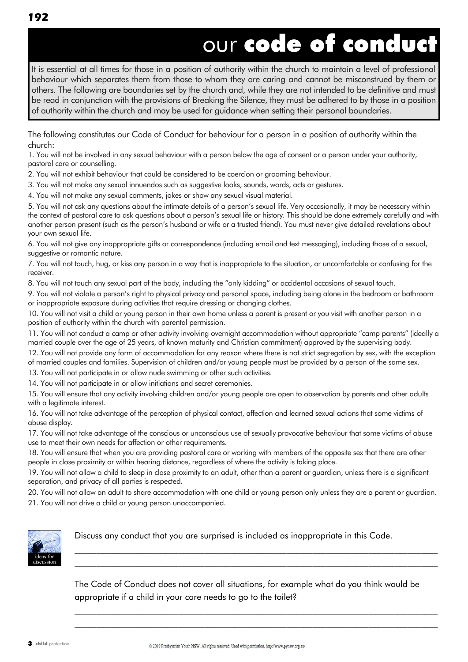It is essential at all times for those in a position of authority within the church to maintain a level of professional behaviour which separates them from those to whom they are caring and cannot be misconstrued by them or others. The following are boundaries set by the church and, while they are not intended to be definitive and must be read in conjunction with the provisions of Breaking the Silence, they must be adhered to by those in a position of authority within the church and may be used for guidance when setting their personal boundaries.

The following constitutes our Code of Conduct for behaviour for a person in a position of authority within the church:

1. You will not be involved in any sexual behaviour with a person below the age of consent or a person under your authority, pastoral care or counselling.

2. You will not exhibit behaviour that could be considered to be coercion or grooming behaviour.

3. You will not make any sexual innuendos such as suggestive looks, sounds, words, acts or gestures.

4. You will not make any sexual comments, jokes or show any sexual visual material.

5. You will not ask any questions about the intimate details of a person's sexual life. Very occasionally, it may be necessary within the context of pastoral care to ask questions about a person's sexual life or history. This should be done extremely carefully and with another person present (such as the person's husband or wife or a trusted friend). You must never give detailed revelations about your own sexual life.

6. You will not give any inappropriate gifts or correspondence (including email and text messaging), including those of a sexual, suggestive or romantic nature.

7. You will not touch, hug, or kiss any person in a way that is inappropriate to the situation, or uncomfortable or confusing for the receiver.

8. You will not touch any sexual part of the body, including the "only kidding" or accidental occasions of sexual touch.

9. You will not violate a person's right to physical privacy and personal space, including being alone in the bedroom or bathroom or inappropriate exposure during activities that require dressing or changing clothes.

10. You will not visit a child or young person in their own home unless a parent is present or you visit with another person in a position of authority within the church with parental permission.

11. You will not conduct a camp or other activity involving overnight accommodation without appropriate "camp parents" (ideally a married couple over the age of 25 years, of known maturity and Christian commitment) approved by the supervising body.

12. You will not provide any form of accommodation for any reason where there is not strict segregation by sex, with the exception of married couples and families. Supervision of children and/or young people must be provided by a person of the same sex.

13. You will not participate in or allow nude swimming or other such activities.

14. You will not participate in or allow initiations and secret ceremonies.

15. You will ensure that any activity involving children and/or young people are open to observation by parents and other adults with a legitimate interest.

16. You will not take advantage of the perception of physical contact, affection and learned sexual actions that some victims of abuse display.

17. You will not take advantage of the conscious or unconscious use of sexually provocative behaviour that some victims of abuse use to meet their own needs for affection or other requirements.

18. You will ensure that when you are providing pastoral care or working with members of the opposite sex that there are other people in close proximity or within hearing distance, regardless of where the activity is taking place.

19. You will not allow a child to sleep in close proximity to an adult, other than a parent or guardian, unless there is a significant separation, and privacy of all parties is respected.

20. You will not allow an adult to share accommodation with one child or young person only unless they are a parent or guardian. 21. You will not drive a child or young person unaccompanied.



Discuss any conduct that you are surprised is included as inappropriate in this Code.

The Code of Conduct does not cover all situations, for example what do you think would be appropriate if a child in your care needs to go to the toilet?

\_\_\_\_\_\_\_\_\_\_\_\_\_\_\_\_\_\_\_\_\_\_\_\_\_\_\_\_\_\_\_\_\_\_\_\_\_\_\_\_\_\_\_\_\_\_\_\_\_\_\_\_\_\_\_\_\_\_\_\_\_\_\_\_\_\_\_\_\_\_\_\_\_\_\_\_\_\_\_\_\_\_\_\_  $\_$  , and the set of the set of the set of the set of the set of the set of the set of the set of the set of the set of the set of the set of the set of the set of the set of the set of the set of the set of the set of th

\_\_\_\_\_\_\_\_\_\_\_\_\_\_\_\_\_\_\_\_\_\_\_\_\_\_\_\_\_\_\_\_\_\_\_\_\_\_\_\_\_\_\_\_\_\_\_\_\_\_\_\_\_\_\_\_\_\_\_\_\_\_\_\_\_\_\_\_\_\_\_\_\_\_\_\_\_\_\_\_\_\_\_\_  $\mathcal{L}_\mathcal{L} = \{ \mathcal{L}_\mathcal{L} = \{ \mathcal{L}_\mathcal{L} = \{ \mathcal{L}_\mathcal{L} = \{ \mathcal{L}_\mathcal{L} = \{ \mathcal{L}_\mathcal{L} = \{ \mathcal{L}_\mathcal{L} = \{ \mathcal{L}_\mathcal{L} = \{ \mathcal{L}_\mathcal{L} = \{ \mathcal{L}_\mathcal{L} = \{ \mathcal{L}_\mathcal{L} = \{ \mathcal{L}_\mathcal{L} = \{ \mathcal{L}_\mathcal{L} = \{ \mathcal{L}_\mathcal{L} = \{ \mathcal{L}_\mathcal{$